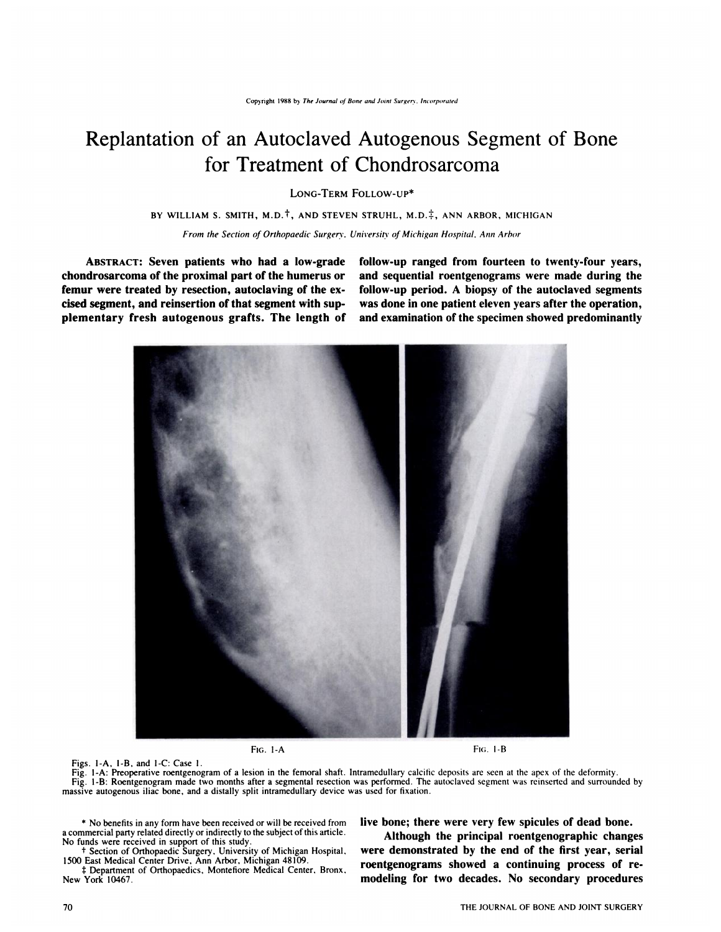# **Replantation of an Autoclaved Autogenous Segment of Bone for Treatment of Chondrosarcoma**

**LONG-TERM FOLLOW-UP\*** 

**BY WILLIAM S. SMITH, M.D.t, AND STEVEN STRUHL, M.D4,** ANN ARBOR, **MICHIGAN**

*From the Section of Orthopaedic Surgery. University of Michigan Hospital, Ann Arbor*

**ABSTRACT: Seven patients who had a low-grade chondrosarcoma of the proximal part of the humerus or femur were treated by resection, autoclaving of the ex** cised segment, and reinsertion of that segment with sup**plementary fresh autogenous grafts. The length of** **follow-up ranged from fourteen to twenty-four years, and sequential roentgenograms were made during the follow-up period. A biopsy of the autoclaved segments was done in one patient eleven years after the operation, and examination of the specimen showed predominantly**



Figs. 1-A, I-B, and I-C: Case I.

Fig. 1-A: Preoperative roentgenogram of a lesion in the femoral shaft. Intramedullary calcific deposits are seen at the apex of the deformity. Fig. 1 -B: Roentgenogram made two months after a segmental resection was performed. The autoclaved segment was reinserted and surrounded by massive autogenous iliac bone, and a distally split intramedullary device was used for fixation.

**\*** No benefits in any form have been received or will be received from **live bone; there were very few spicules of dead bone.** a commercial party related directly or indirectly to the subject ofthis article. **Although the principal roentgenographic changes** No funds were received in support of this study.

 $\ddagger$  Department of Orthopaedics, Montefiore Medical Center, Bronx, New York 10467. **modeling for two decades.** No secondary procedures

*t* Section of Orthopaedic Surgery. University of Michigan Hospital. **were demonstrated by the end of the first year, serial** 1500 East Medical Center Drive, Ann Arbor, Michigan 48109. **roentgenograms showed a continuing process of re-**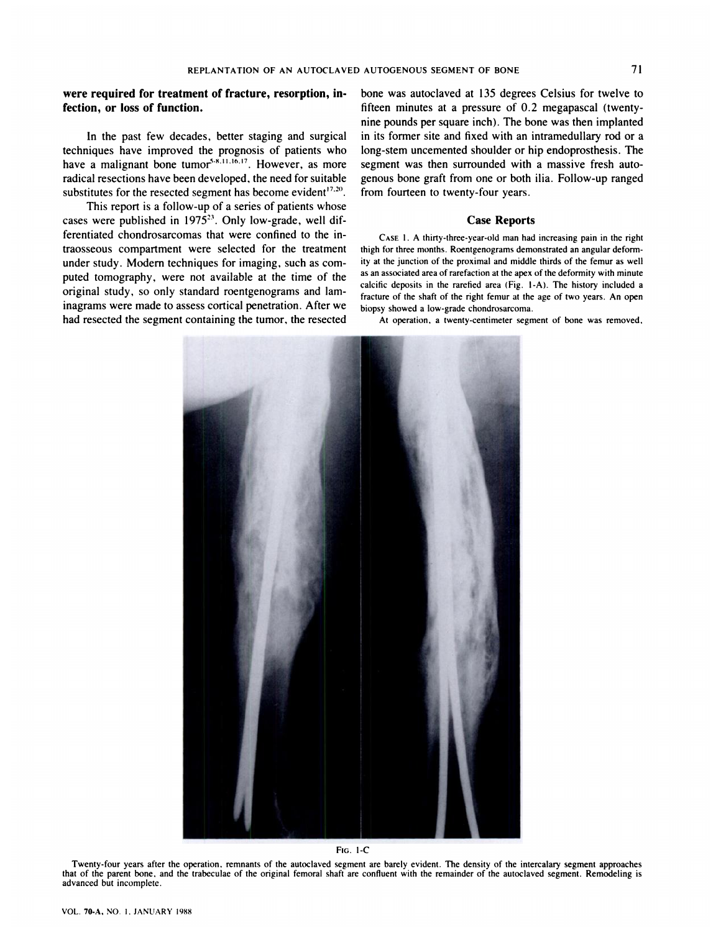### **were required for treatment of fracture, resorption, infection, or loss of function.**

In the past few decades, better staging and surgical techniques have improved the prognosis of patients who have a malignant bone tumor<sup>5,8,11,16,17</sup>. However, as more radical resections have been developed, the need for suitable substitutes for the resected segment has become evident $17.20$ .

This report is a follow-up of a series of patients whose cases were published in  $1975^{23}$ . Only low-grade, well differentiated chondrosarcomas that were confined to the intraosseous compartment were selected for the treatment under study. Modern techniques for imaging, such as com puted tomography, were not available at the time of the original study, so only standard roentgenograms and laminagrams were made to assess cortical penetration. After we had resected the segment containing the tumor, the resected bone was autoclaved at 135 degrees Celsius for twelve to fifteen minutes at a pressure of 0.2 megapascal (twentynine pounds per square inch). The bone was then implanted in its former site and fixed with an intramedullary rod or a long-stem uncemented shoulder or hip endoprosthesis. The segment was then surrounded with a massive fresh autogenous bone graft from one or both ilia. Follow-up ranged from fourteen to twenty-four years.

#### **Case Reports**

CASE 1. A thirty-three-year-old man had increasing pain in the right thigh for three months. Roentgenograms demonstrated an angular deformity at the junction of the proximal and middle thirds of the femur as well as an associated area of rarefaction at the apex of the deformity with minute calcific deposits in the rarefied area (Fig. I-A). The history included a fracture of the shaft of the right femur at the age of two years. An open biopsy showed a low-grade chondrosarcoma.

At operation. a twenty-centimeter segment of bone was removed,



**FIG. 1-C**

Twenty-four years after the operation. remnants of the autoclaved segment are barely evident. The density of the intercalary segment approaches that of the parent bone. and the trabeculae of the original femoral shaft are confluent with the remainder of the autoclaved segment. Remodeling is advanced but incomplete.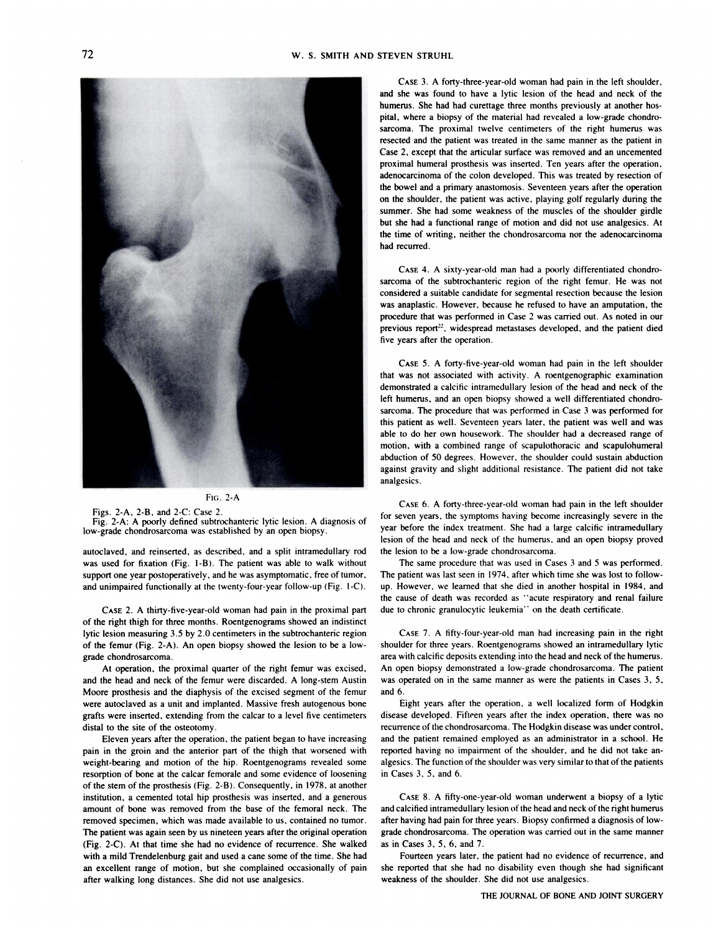

#### FIG. 2-A

Figs. 2-A, 2-B, and 2-C: Case 2.

Fig. 2-A: A poorly defined subtrochanteric lytic lesion. A diagnosis of low-grade chondrosarcoma was established by an open biopsy.

autoclaved, and reinserted, as described, and a split intramedullary rod was used for fixation (Fig. I-B). The patient was able to walk without support one year postoperatively. and he was asymptomatic, free of tumor, and unimpaired functionally at the twenty-four-year follow-up (Fig. 1-C).

**CASE** 2. A thirty-five-year-old woman had pain in the proximal part of the right thigh for three months. Roentgenograms showed an indistinct lytic lesion measuring *3.5* by 2.0 centimeters in the subtrochanteric region of the femur (Fig. 2-A). An open biopsy showed the lesion to be a low grade chondrosarcoma.

At operation. the proximal quarter of the right femur was excised, and the head and neck of the femur were discarded. A long-stem Austin Moore prosthesis and the diaphysis of the excised segment of the femur were autoclaved as a unit and implanted. Massive fresh autogenous bone grafts were inserted, extending from the calcar to a level five centimeters distal to the site of the osteotomy.

Eleven years after the operation. the patient began to have increasing pain in the groin and the anterior part of the thigh that worsened with weight-bearing and motion of the hip. Roentgenograms revealed some resorption of bone at the calcar femorale and some evidence of loosening of the stem of the prosthesis (Fig. 2-B). Consequently, in 1978, at another institution, a cemented total hip prosthesis was inserted, and a generous amount of bone was removed from the base of the femoral neck. The removed specimen, which was made available to us, contained no tumor. The patient was again seen by us nineteen years after the original operation (Fig. 2-C). At that time she had no evidence of recurrence. She walked with a mild Trendelenburg gait and used a cane some of the time. She had an excellent range of motion, but she complained occasionally of pain after walking long distances. She did not use analgesics.

**CASE** 3. A forty-three-year-old woman had pain in the left shoulder, and she was found to have a lyric lesion of the head and neck of the humerus. She had had curettage three months previously at another hos pital, where a biopsy of the material had revealed a low-grade chondro sarcoma. The proximal twelve centimeters of the right humerus was resected and the patient was treated in the same manner as the patient in Case 2, except that the articular surface was removed and an uncemented proximal humeral prosthesis was inserted. Ten years after the operation, adenocarcinoma of the colon developed. This was treated by resection of the bowel and a primary anastomosis. Seventeen years after the operation **on the shoulder, the patient was active, playing golf regularly during the** summer. She had some weakness of the muscles of the shoulder girdle but she had a functional range of motion and did not use analgesics. At **the time of writing, neither the chondrosarcoma nor the adenocarcinoma had recurred.**

**CASE** 4. A sixty-year-old man had a poorly differentiated chondro sarcoma of the subtrochanteric region of the right femur. He was not considered a suitable candidate for segmental resection because the lesion was anaplastic. However, because he refused to have an amputation, the procedure that was performed in Case 2 was carried out. As noted in our previous report<sup>22</sup>, widespread metastases developed, and the patient died five years after the operation.

**CASE** *5.* A forty-five-year-old woman had pain in the left shoulder that was not associated with activity. A roentgenographic examination demonstrated a calcific intramedullary lesion of the head and neck of the left humerus, and an open biopsy showed a well differentiated chondro sarcoma. The procedure that was performed in Case 3 was performed for this patient as well. Seventeen years later, the patient was well and was able to do her own housework. The shoulder had a decreased range of motion, with a combined range of scapulothoracic and scapulohumeral abduction of 50 degrees. However, the shoulder could sustain abduction against gravity and slight additional resistance. The patient did not take analgesics.

CASE 6. A forty-three-year-old woman had pain in the left shoulder for seven years. the symptoms having become increasingly severe in the year before the index treatment. She had a large calcific intramedullary lesion of the head and neck of the humerus, and an open biopsy proved the lesion to be a low-grade chondrosarcoma.

The same procedure that was used in Cases 3 and *5* was performed. The patient was last seen in 1974, after which time she was lost to follow up. However. we learned that she died in another hospital in 1984, and the cause of death was recorded as ' 'acute respiratory and renal failure due to chronic granulocytic leukemia'' on the death certificate.

CASE 7. A fifty-four-year-old man had increasing pain in the right shoulder for three years. Roentgenograms showed an intramedullary lytic area with calcific deposits extending into the head and neck of the humerus. An open biopsy demonstrated a low-grade chondrosarcoma. The patient was operated on in the same manner as were the patients in Cases 3, 5,

and 6.<br>Eight years after the operation, a well localized form of Hodgkin disease developed. Fifteen years after the index operation, there was no recurrence of the chondrosarcoma. The Hodgkin disease was under control, and the patient remained employed as an administrator in a school. He reported having no impairment of the shoulder, and he did not take an algesics. The function of the shoulder was very similar to that of the patients in Cases 3, *5,* and 6.

CASE 8. A fifty-one-year-old woman underwent a biopsy of a lytic and calcified intramedullary lesion of the head and neck of the right humerus after having had pain for three years. Biopsy confirmed a diagnosis of low grade chondrosarcoma. The operation was carried out in the same manner as in Cases 3, 5, 6, and 7.

Fourteen years later, the patient had no evidence of recurrence, and she reported that she had no disability even though she had significant weakness of the shoulder. She did not use analgesics.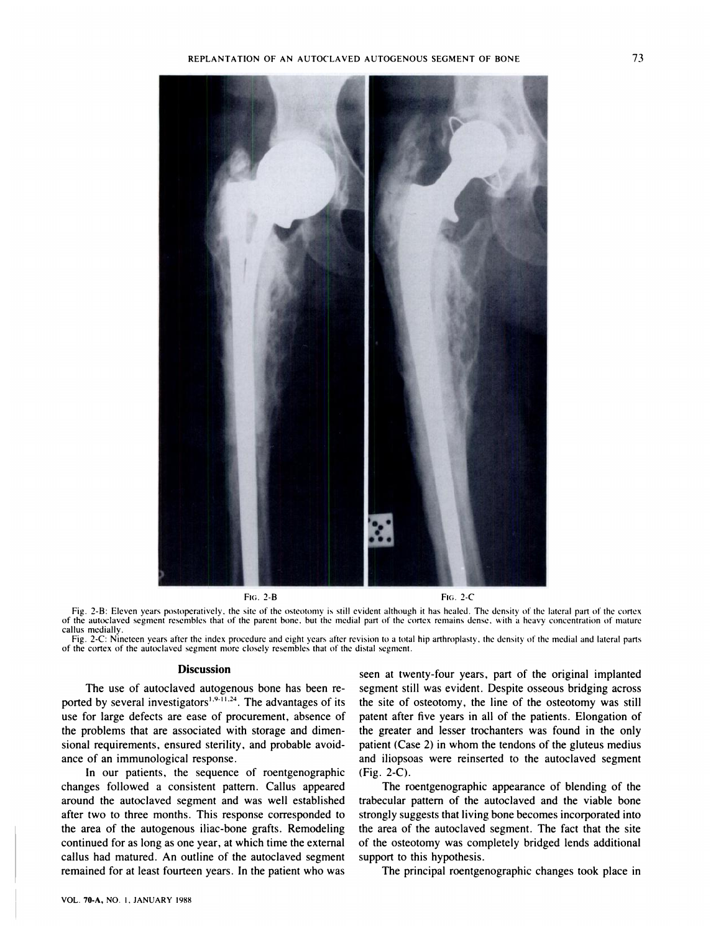

FIG. 2-B

FIG. 2-C

Fig. 2-B: Eleven years postoperatively, the site of the osteotomy is still evident although it has healed. The density of the lateral part of the cortex of the autoclaved segment resembles that of the parent bone, but the medial part of the cortex remains dense, with a heavy concentration of mature callus medially.

Fig. 2-C: Nineteen years after the index procedure and eight years after revision to a total hip arthroplasty. the density of the medial and lateral parts of the cortex of the autoclaved segment more closely resembles that of the distal segment.

#### **Discussion**

The use of autoclaved autogenous bone has been re ported by several investigators<sup>1,9.11,24</sup>. The advantages of its use for large defects are ease of procurement, absence of the problems that are associated with storage and dimensional requirements, ensured sterility, and probable avoid ance of an immunological response.

In our patients, the sequence of roentgenographic changes followed a consistent pattern. Callus appeared around the autoclaved segment and was well established after two to three months. This response corresponded to the area of the autogenous iliac-bone grafts. Remodeling continued for as long as one year, at which time the external callus had matured. An outline of the autoclaved segment remained for at least fourteen years. In the patient who was

seen at twenty-four years, part of the original implanted segment still was evident. Despite osseous bridging across the site of osteotomy, the line of the osteotomy was still patent after five years in all of the patients. Elongation of the greater and lesser trochanters was found in the only patient (Case 2) in whom the tendons of the gluteus medius and iliopsoas were reinserted to the autoclaved segment (Fig. 2-C).

The roentgenographic appearance of blending of the trabecular pattern of the autoclaved and the viable bone strongly suggests that living bone becomes incorporated into the area of the autoclaved segment. The fact that the site of the osteotomy was completely bridged lends additional support to this hypothesis.

The principal roentgenographic changes took place in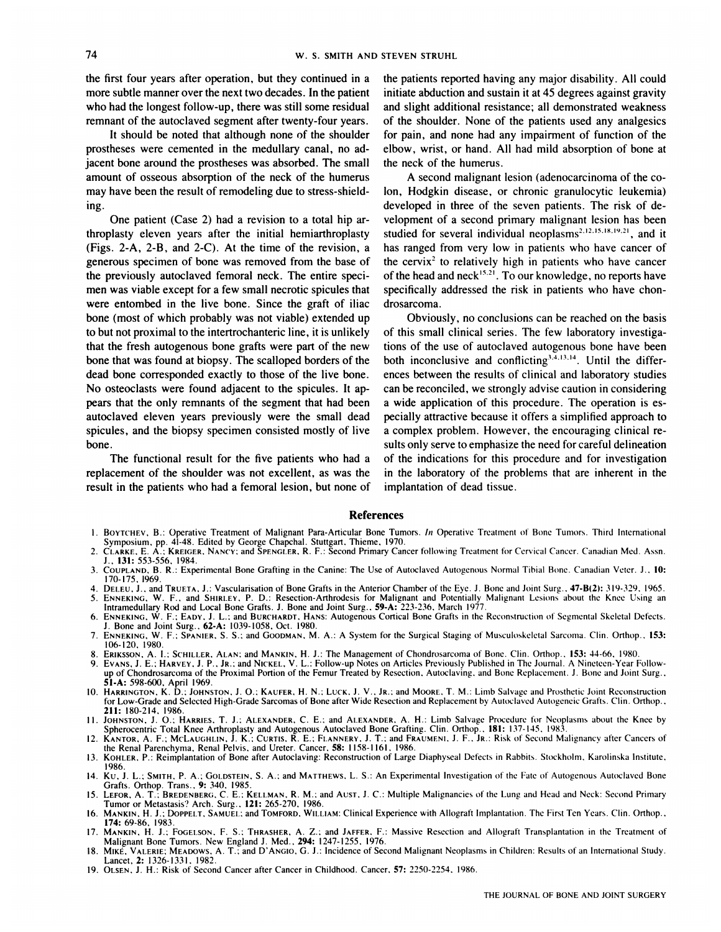the first four years after operation, but they continued in a more subtle manner over the next two decades. In the patient who had the longest follow-up, there was still some residual remnant of the autoclaved segment after twenty-four years.

It should be noted that although none of the shoulder prostheses were cemented in the medullary canal, no adjacent bone around the prostheses was absorbed. The small amount of osseous absorption of the neck of the humerus may have been the result of remodeling due to stress-shielding.

One patient (Case 2) had a revision to a total hip arthroplasty eleven years after the initial hemiarthroplasty (Figs. 2-A, 2-B, and 2-C). At the time of the revision, a generous specimen of bone was removed from the base of the previously autoclaved femoral neck. The entire speci men was viable except for a few small necrotic spicules that were entombed in the live bone. Since the graft of iliac bone (most of which probably was not viable) extended up to but not proximal to the intertrochanteric line, it is unlikely that the fresh autogenous bone grafts were part of the new bone that was found at biopsy. The scalloped borders of the dead bone corresponded exactly to those of the live bone. No osteoclasts were found adjacent to the spicules. It appears that the only remnants of the segment that had been autoclaved eleven years previously were the small dead spicules, and the biopsy specimen consisted mostly of live bone.

The functional result for the five patients who had a replacement of the shoulder was not excellent, as was the result in the patients who had a femoral lesion, but none of the patients reported having any major disability. All could initiate abduction and sustain it at 45 degrees against gravity and slight additional resistance; all demonstrated weakness of the shoulder. None of the patients used any analgesics for pain, and none had any impairment of function of the elbow, wrist, or hand. All had mild absorption of bone at the neck of the humerus.

A second malignant lesion (adenocarcinoma of the colon, Hodgkin disease, or chronic granulocytic leukemia) developed in three of the seven patients. The risk of development of a second primary malignant lesion has been studied for several individual neoplasms<sup>2,12,15,18,19,21</sup>, and it has ranged from very low in patients who have cancer of the cervix<sup>2</sup> to relatively high in patients who have cancer of the head and neck<sup>15,21</sup>. To our knowledge, no reports have specifically addressed the risk in patients who have chondrosarcoma.

Obviously, no conclusions can be reached on the basis of this small clinical series. The few laboratory investigations of the use of autoclaved autogenous bone have been both inconclusive and conflicting<sup>3,4,13,14</sup>. Until the differences between the results of clinical and laboratory studies can be reconciled, we strongly advise caution in considering a wide application of this procedure. The operation is es pecially attractive because it offers a simplified approach to a complex problem. However, the encouraging clinical re sults only serve to emphasize the need for careful delineation of the indications for this procedure and for investigation in the laboratory of the problems that are inherent in the implantation of dead tissue.

#### **References**

- I . **BOYTCHEV,** B.: Operative Treatment of Malignant Para-Articular Bone Tumors. *In* Operative Treatmen of Bone Tumors. Third International
- Symposium, pp. 41-48. Edited by George Chapchal. Stuttgart, Thieme, 1970.<br>2. CLARKE, E. A.; KREIGER, NANCY; and SPENGLER, R. F.: Second Primary Cancer following Treatment for Cervical Cancer. Canadian Med. Assn. **J..** 131: 553-556, 1984.
- 3. COUPLAND, B. R.: Experimental Bone Grafting in the Canine: The Use of Autoclaved Autogenous Normal Tibial Bone. Canadian Veter. J., 10: 170-175, 1969.
- 4. **DELEU, J.** *,* **and TRUETA, J.: Vascularisation of Bone Grafts** in the Anterior Chamber of the Eye. J. Bone and Joint Surg. . 47-B(2): 319-329, 1965. 5. ENNEKING, W. F., and SHIRLEY, P. D.: Resection-Arthrodesis for Malignant and Potentially Malignant Lesions about the Knee Using an<br>Intramedullary Rod and Local Bone Grafts. J. Bone and Joint Surg., 59-A: 223-236, March
- 6. ENNEKING, W. F.; EADY, J. L.; and BURCHARDT, HANS: Autogenous Cortical Bone Grafts in the Reconstruction of Segmental Skeletal Defects. **J. Bone and Joint Surg.. 62-A: 1039-1058, Oct. 1980.**
- 7. ENNEKING, W. **F.: SPANIER. S.** S.: and GOODMAN, M. A.: A System for the Surgical Staging of Musculoskeletal Sarcoma. Clin. Orthop. **.** *153:* 106-120, 1980.
- 
- 8. ERIKSSON, A. I.; SCHILLER, ALAN: and MANKIN, H. J.: The Management of Chondrosarcoma of Bone. Clin. Orthop., 155: 44-00, 1980.<br>9. Evans, J. E.; Harvey, J. P., Jr.; and Nickel, V. L.: Follow-up Notes on Articles Previous up of Chondrosarcoma of the Proximal Portion of the Femur Treated by Resection. Autoclaving. and Bone Replacement. J. Bone and Joint Surg.. **51-A:** 598-600, April 1969.
- 10. HARRINGTON, K. D.; JOHNSTON, J. O.; KAUFER, H. N.; LUCK, J. V., JR.; and MOORE, T. M.: Limb Salvage and Prosthetic Joint Reconstruction for Low-Grade and Selected High-Grade Sarcomas of Bone after Wide Resection and Replacement by Autoclaved Autogeneic Grafts. Clin. Orthop., **211: 180-214, 1986.**
- 11. JOHNSTON, J. O.; HARRIES, T. J.; ALEXANDER, C. E.; and ALEXANDER, A. H.: Limb Salvage Procedure for Neoplasms about the Knee by Spherocentric Total Knee Arthropiasty and Autogenous Autoclaved Bone Grafting. Clin. Orthop., 181: 137-145, 1983.<br>12. KANTOR, A. F.; MCLAUGHLIN, J. K.; CURTIS, R. E.; FLANNERY, J. T.; and FRAUMENI, J. F., JR.: Risk of Seco

the Renal Parenchyma, Renal Pelvis, and Ureter. Cancer. *58:* 1 158-1 161. 1986.

- 13. KOHLER, P.: Reimplantation of Bone after Autoclaving: Reconstruction of Large Diaphyseal Defects in Rabbits. Stockholm, Karolinska Institute, 1986.
- 14. KU, J. L. *;***SMITH, P. A.; GOLDSTEIN, S. A.: and** MATTHEWS, L. S.: An Experimental Investigation of the Fate of Autogenous Autoclaved Bone Grafts. Orthop. Trans. *,* 9: 340. 1985.
- 15. LEFOR, A. T.; BREDENBERG, C. E.; KELLMAN, R. M.; and AUST, J. C.: Multiple Malignancies of the Lung and Head and Neck: Second Primary Tumor or Metastasis? Arch. Surg. *,* **121: 265-270. 1986.**
- 16. MANKIN, H. J.; DOPPELT, SAMUEL; and TOMFORD, WILLIAM: Clinical Experience with Allograft Implantation. The First Ten Years. Clin. Orthop., **174: 69-86, 1983.**
- 17. MANKIN, H. J.; FOGELSON, F. S.; THRASHER, A. Z.; and JAFFER, F.: Massive Resection and Allograft Transplantation in the Treatment of Malignant Bone Tumors. New England J. Med., 294: 1247-1255, 1976.
- 18. MIKE, VALERIE; MEADOWS, A. T., and D'ANGIO, G. J.: Incidence of Second Malignant Neoplasms in Children: Results of an International Study. **Lancet, 2: 1326-1331. 1982.**
- 19. OLSEN, **J. H.: Risk of Second Cancer after Cancer** in Childhood. Cancer, 57: 2250-2254, 1986.